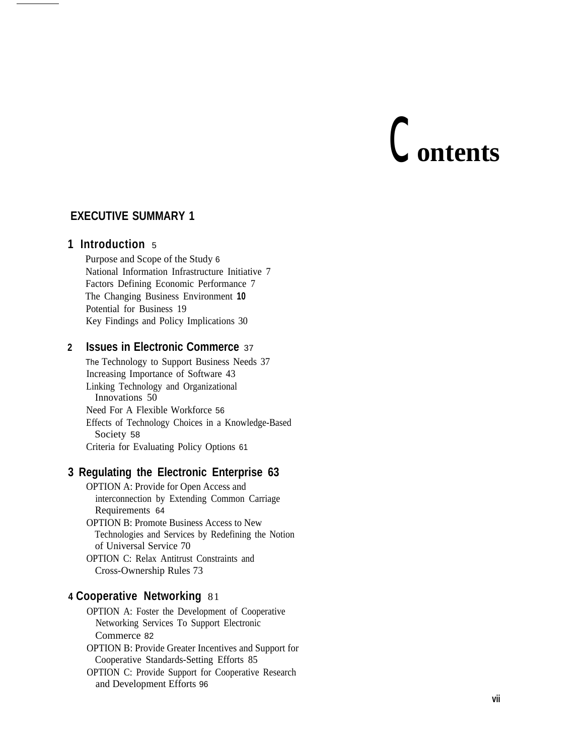# c**ontents**

## **EXECUTIVE SUMMARY 1**

## **1 Introduction** <sup>5</sup>

Purpose and Scope of the Study 6 National Information Infrastructure Initiative 7 Factors Defining Economic Performance 7 The Changing Business Environment **10** Potential for Business 19 Key Findings and Policy Implications 30

## **2 Issues in Electronic Commerce** <sup>37</sup>

The Technology to Support Business Needs 37 Increasing Importance of Software 43 Linking Technology and Organizational Innovations 50 Need For A Flexible Workforce 56 Effects of Technology Choices in a Knowledge-Based Society 58 Criteria for Evaluating Policy Options 61

## **3 Regulating the Electronic Enterprise 63**

OPTION A: Provide for Open Access and interconnection by Extending Common Carriage Requirements 64 OPTION B: Promote Business Access to New Technologies and Services by Redefining the Notion of Universal Service 70 OPTION C: Relax Antitrust Constraints and Cross-Ownership Rules 73

### **4 Cooperative Networking** 81

OPTION A: Foster the Development of Cooperative Networking Services To Support Electronic Commerce 82

OPTION B: Provide Greater Incentives and Support for Cooperative Standards-Setting Efforts 85

OPTION C: Provide Support for Cooperative Research and Development Efforts 96